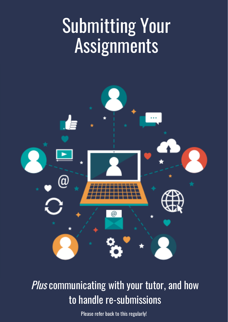# Submitting Your Assignments



Plus communicating with your tutor, and how to handle re-submissions

Please refer back to this regularly!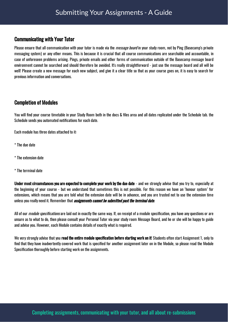## Communicating with Your Tutor

Please ensure that all communication with your tutor is made via the *message board* in your study room, not by Ping (Basecamp's private messaging system) or any other means. This is because it is crucial that all course communications are searchable and accountable, in case of unforeseen problems arising. Pings, private emails and other forms of communication outside of the Basecamp message board environment cannot be searched and should therefore be avoided. It's really straightforward - just use the message board and all will be well! Please create a new message for each new subject, and give it a clear title so that as your course goes on, it is easy to search for previous information and conversations.

## Completion of Modules

You will find your course timetable in your Study Room both in the docs & files area and all dates replicated under the Schedule tab. the Schedule sends you automated notifications for each date.

Each module has three dates attached to it:

- \* The due date
- \* The extension date
- \* The terminal date

Under most circumstances you are expected to complete your work by the due date - and we strongly advise that you try to, especially at the beginning of your course - but we understand that sometimes this is not possible. For this reason we have an 'honour system' for extensions, which means that you are told what the extension date will be in advance, and you are trusted not to use the extension time unless you really need it. Remember that *assignments cannot be submitted past the terminal date.* 

All of our *module specifications* are laid out in exactly the same way. If, on receipt of a module specification, you have any questions or are unsure as to what to do, then please consult your Personal Tutor via your study room Message Board, and he or she will be happy to guide and advise you. However, each Module contains details of exactly what is required.

We very strongly advise that you **read the entire module specification before starting work on it**! Students often start Assignment 1, only to find that they have inadvertently covered work that is specified for another assignment later on in the Module, so please read the Module Specification thoroughly before starting work on the assignments.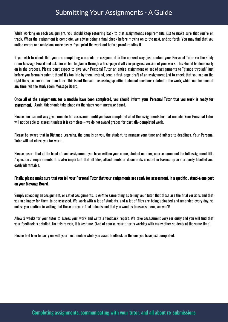# Submitting Your Assignments - A Guide

While working on each assignment, you should keep referring back to that assignment's requirements just to make sure that you're on track. When the assignment is complete, we advise doing a final check before moving on to the next, and so forth. You may find that you notice errors and omissions more easilyif you print the work out before proof-reading it.

If you wish to check that you are completing a module or assignment in the correct way, just contact your Personal Tutor via the study room Message Board and ask him or her to glance through a first-page draft / in-progress version of your work. This should be done early on in the process. Please don't expect to give your Personal Tutor an entire assignment or set of assignments to "glance through" just before you formally submit them! It's too late by then. Instead, send a first-page draft of an assignment just to check that you are on the right lines, sooner rather than later. This is not the same as asking specific, technical questions related to the work, which can be done at any time, via the study room Message Board.

Once all of the assignments for a module have been completed, you should inform your Personal Tutor that you work is ready for **assessment.** Again, this should take place via the study room message board.

Please don't submit any given module for assessment until you have completed all of the assignments for that module. Your Personal Tutor will not be able to assess it unless it is complete – we do not award grades for partially-completed work.

Please be aware that in Distance Learning, the onus is on you, the student, to manage your time and adhere to deadlines. Your Personal Tutor will not chase you for work.

Please ensure that at the head of each assignment, you have written your name, student number, course name and the full assignment title / question / requirements. It is also important that all files, attachments or documents created in Basecamp are properly labelled and easily identifiable.

Finally, please make sure that you tell your Personal Tutor that your assignments are ready for assessment, in a specific, stand-alone post on your Message Board.

Simply uploading an assignment, or set of assignments, is *not* the same thing as telling your tutor that those are the final versions and that you are happy for them to be assessed. We work with a lot of students, and a lot of files are being uploaded and amended every day, so unless you confirm in writing that these are your final uploads and that you want us to assess them, we won't!

Allow 3 weeks for your tutor to assess your work and write a feedback report. We take assessment very seriously and you will find that your feedback is detailed. For this reason, it takes time. (And of course, your tutor is working with many other students at the same time)!

Please feel free to carry on with your next module while you await feedback on the one you have just completed.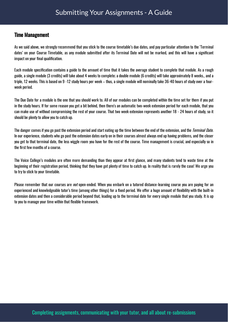## Time Management

As we said above, we strongly recommend that you stick to the course timetable's due dates, and pay particular attention to the 'Terminal dates' on your Course Timetable, as any module submitted after its Terminal Date will not be marked, and this will have a signicant impact on your final qualification.

Each module specification contains a guide to the amount of time that it takes the average student to complete that module. As a rough guide, a single module (3 credits) will take about 4 weeks to complete; a double module (6 credits) will take approximately 8 weeks., and a triple, 12 weeks. This is based on 9 -12 study hours per week – thus, a single module will nominallytake 36-40 hours of study over a fourweek period.

The Due Date for a module is the one that you should work to. All of our modules can be completed within the time set for them if you put in the study hours. If for some reason you get a bit behind, then there's an automatic two-week extension period for each module, that you can make use of without compromising the rest of your course. That two week extension represents another 18 - 24 hours of study, so it should be plenty to allow you to catch up.

The danger comes if you go past the extension period and start eating up the time between the end of the extension, and the *Terminal Date*. In our experience, students who go past the extension dates early on in their courses almost always end up having problems, and the closer you get to that terminal date, the less wiggle room you have for the rest of the course. Time management is crucial, and especially so in the first few months of a course.

The Voice College's modules are often more demanding than they appear at first glance, and many students tend to waste time at the beginning of their registration period, thinking that they have got plenty of time to catch up. In reality that is rarely the case! We urge you to try to stick to your timetable.

Please remember that our courses are *not* open-ended. When you embark on a tutored distance-learning course you are paying for an experienced and knowledgeable tutor's time (among other things) for a fixed period. We offer a huge amount of flexibility with the built-in extension dates and then a considerable period beyond that, leading up to the terminal date for every single module that you study. It is up to you to manage your time within that flexible framework.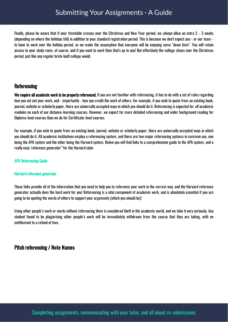# Submitting Your Assignments - A Guide

Finally, please be aware that if your timetable crosses over the Christmas and New Year period, we *always* allow an extra 2 - 3 weeks (depending on where the holidays fall) in addition to your standard registration period. This is because we don't expect you - or our team to have to work over the holiday period, so we make the assumption that everyone will be enjoying some "down time". You will retain access to your study room, of course, and if you want to work then that's up to you! But effectively the college closes over the Christmas period, just like anyregular brick-built college would.

### **Referencing**

We require all academic work to be properly referenced. If you are not familiar with referencing, it has to do with a set of rules regarding how you set out your work, and - importantly - how you credit the work of others. For example, if you wish to quote from an existing book, journal, website or scholarly paper, there are universally accepted ways in which you should do it. Referencing is expected for all academic modules on each of our distance-learning courses. However, we expect far more detailed referencing and wider background reading for Diploma-level courses than we do for Certificate-level courses.

For example, if you wish to quote from an existing book, journal, website or scholarly paper, there are universally accepted ways in which you should do it. All academic institutions employ a referencing system, and there are two major referencing systems in common use, one being the APA system and the other being the Harvard system. Below you will find links to a comprehensive guide to the APA system, and a really easy 'reference generator" for the Harvard style:

#### APA [Referencing](https://owl.english.purdue.edu/owl/resource/560/01/) Guide

#### Harvard [reference](http://www.neilstoolbox.com/bibliography-creator/) generator

These links provide all of the information that you need to help you to reference your work in the correct way, and the Harvard reference generator actually does the hard work for you! Referencing is a vital component of academic work, and is absolutely essential if you are going to be quoting the words of others to supportyour arguments (which you should be)!

Using other people's work or words without referencing them is considered theft in the academic world, and we take it veryseriously. Any student found to be plagiarising other people's work will be immediately withdrawn from the course that they are taking, with no entitlement to a refund of fees.

## Pitch referencing / Note Names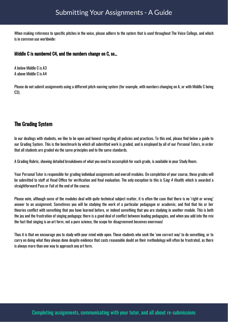When making reference to specific pitches in the voice, please adhere to the system that is used throughout The Voice College, and which is in common use worldwide:

#### Middle C is numbered C4, and the numbers change on C, so...

A below Middle C is A3 A above Middle C is A4

Please do not submit assignments using a different pitch-naming system (for example, with numbers changing on A, or with Middle C being C3).

## The Grading System

In our dealings with students, we like to be open and honest regarding all policies and practices. To this end, please find below a guide to our Grading System. This is the benchmark by which all submitted work is graded, and is employed by all of our Personal Tutors, in order that all students are graded via the same principles and to the same standards.

A Grading Rubric, showing detailed breakdowns of what you need to accomplish for each grade, is available in your Study Room.

Your Personal Tutor is responsible for grading individual assignments and overall modules. On completion of your course, these grades will be submitted to staff at Head Office for verification and final evaluation. The only exception to this is Sing 4 Health, which is awarded a straightforward Pass or Fail at the end of the course.

Please note, although some of the modules deal with quite technical subject matter, it is often the case that there is no 'right or wrong' answer to an assignment. Sometimes you will be studying the work of a particular pedagogue or academic, and find that his or her theories conflict with something that you have learned before, or indeed something that you are studying in another module. This is both the joy and the frustration of singing pedagogy; there is a good deal of conflict between leading pedagogies, and when you add into the mix the fact that singing is an art form, not a pure science, the scope for disagreement becomes enormous!

Thus it is that we encourage you to study with your mind wide open. Those students who seek the 'one correct way' to do something, or to carry on doing what they always done despite evidence that casts reasonable doubt on their methodology will often be frustrated, as there is always more than one wayto approach any art form.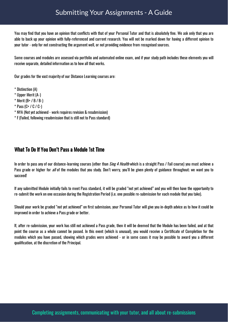You may find that you have an opinion that conflicts with that of your Personal Tutor and that is absolutely fine. We ask only that you are able to back up your opinion with fully-referenced and current research. You will not be marked down for having a different opinion to your tutor - onlyfor not constructing the argument well, or not providing evidence from recognised sources.

Some courses and modules are assessed via portfolio and automated online exam, and if your study path includes these elements you will receive separate, detailed information as to how all that works.

Our grades for the vast majority of our Distance Learning courses are:

\* Distinction (A)

- \* Upper Merit (A-)
- $*$  Merit (B+ / B / B-)
- $*$  Pass (C+ / C / C-)
- \* NYA (Not yet achieved work requires revision & resubmission)
- \* F(Failed, following resubmission that is still not to Pass standard)

## What To Do If You Don't Pass a Module 1st Time

In order to pass any of our distance-learning courses (other than *Sing 4 Health* which is a straight Pass / Fail course) you must achieve a Pass grade or higher for all of the modules that you study. Don't worry, you'll be given plenty of guidance throughout; we want you to succeed!

If any submitted Module initially fails to meet Pass standard, it will be graded "not yet achieved" and you will then have the opportunity to re-submit the work on one occasion during the Registration Period (i.e. one possible re-submission for each module thatyou take).

Should your work be graded "not yet achieved" on first submission, your Personal Tutor will give you in-depth advice as to how it could be improved in order to achieve a Pass grade or better.

If, after re-submission, your work has still not achieved a Pass grade, then it will be deemed that the Module has been failed, and at that point the course as a whole cannot be passed. In this event (which is unusual), you would receive a Certificate of Completion for the modules which you have passed, showing which grades were achieved - or in some cases it may be possible to award you a different qualification, at the discretion of the Principal.